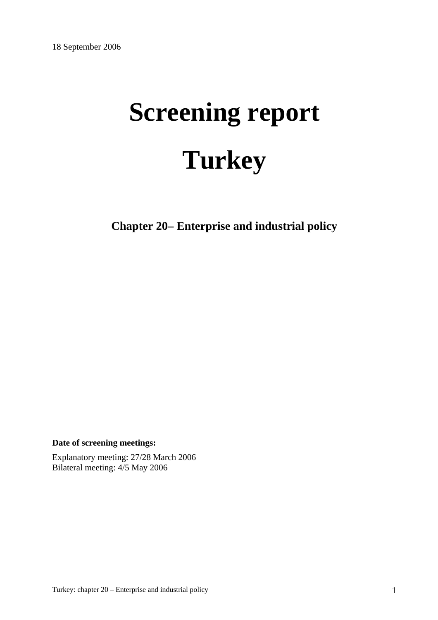# **Screening report Turkey**

**Chapter 20– Enterprise and industrial policy** 

**Date of screening meetings:**

Explanatory meeting: 27/28 March 2006 Bilateral meeting: 4/5 May 2006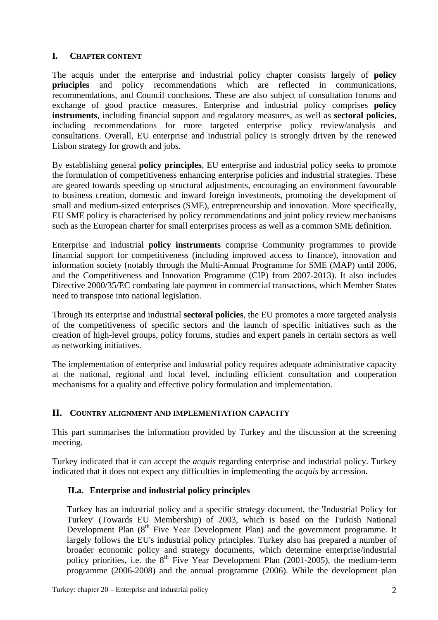#### **I. CHAPTER CONTENT**

The acquis under the enterprise and industrial policy chapter consists largely of **policy principles** and policy recommendations which are reflected in communications, recommendations, and Council conclusions. These are also subject of consultation forums and exchange of good practice measures. Enterprise and industrial policy comprises **policy instruments**, including financial support and regulatory measures, as well as **sectoral policies**, including recommendations for more targeted enterprise policy review/analysis and consultations. Overall, EU enterprise and industrial policy is strongly driven by the renewed Lisbon strategy for growth and jobs.

By establishing general **policy principles**, EU enterprise and industrial policy seeks to promote the formulation of competitiveness enhancing enterprise policies and industrial strategies. These are geared towards speeding up structural adjustments, encouraging an environment favourable to business creation, domestic and inward foreign investments, promoting the development of small and medium-sized enterprises (SME), entrepreneurship and innovation. More specifically, EU SME policy is characterised by policy recommendations and joint policy review mechanisms such as the European charter for small enterprises process as well as a common SME definition.

Enterprise and industrial **policy instruments** comprise Community programmes to provide financial support for competitiveness (including improved access to finance), innovation and information society (notably through the Multi-Annual Programme for SME (MAP) until 2006, and the Competitiveness and Innovation Programme (CIP) from 2007-2013). It also includes Directive 2000/35/EC combating late payment in commercial transactions, which Member States need to transpose into national legislation.

Through its enterprise and industrial **sectoral policies**, the EU promotes a more targeted analysis of the competitiveness of specific sectors and the launch of specific initiatives such as the creation of high-level groups, policy forums, studies and expert panels in certain sectors as well as networking initiatives.

The implementation of enterprise and industrial policy requires adequate administrative capacity at the national, regional and local level, including efficient consultation and cooperation mechanisms for a quality and effective policy formulation and implementation.

## **II. COUNTRY ALIGNMENT AND IMPLEMENTATION CAPACITY**

This part summarises the information provided by Turkey and the discussion at the screening meeting.

Turkey indicated that it can accept the *acquis* regarding enterprise and industrial policy. Turkey indicated that it does not expect any difficulties in implementing the *acquis* by accession.

## **II.a. Enterprise and industrial policy principles**

Turkey has an industrial policy and a specific strategy document, the 'Industrial Policy for Turkey' (Towards EU Membership) of 2003, which is based on the Turkish National Development Plan  $(8<sup>th</sup>$  Five Year Development Plan) and the government programme. It largely follows the EU's industrial policy principles. Turkey also has prepared a number of broader economic policy and strategy documents, which determine enterprise/industrial policy priorities, i.e. the  $8<sup>th</sup>$  Five Year Development Plan (2001-2005), the medium-term programme (2006-2008) and the annual programme (2006). While the development plan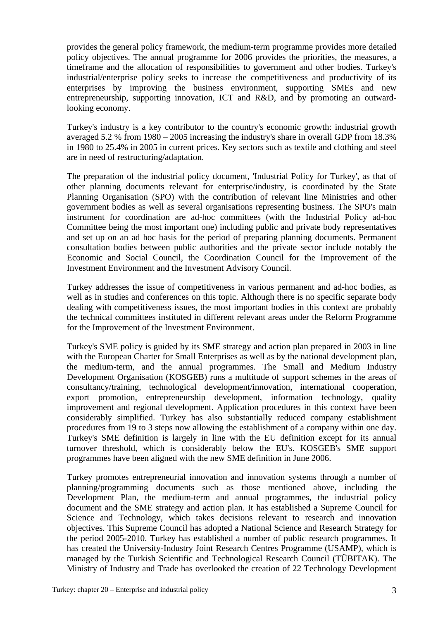provides the general policy framework, the medium-term programme provides more detailed policy objectives. The annual programme for 2006 provides the priorities, the measures, a timeframe and the allocation of responsibilities to government and other bodies. Turkey's industrial/enterprise policy seeks to increase the competitiveness and productivity of its enterprises by improving the business environment, supporting SMEs and new entrepreneurship, supporting innovation, ICT and R&D, and by promoting an outwardlooking economy.

Turkey's industry is a key contributor to the country's economic growth: industrial growth averaged 5.2 % from 1980 – 2005 increasing the industry's share in overall GDP from 18.3% in 1980 to 25.4% in 2005 in current prices. Key sectors such as textile and clothing and steel are in need of restructuring/adaptation.

The preparation of the industrial policy document, 'Industrial Policy for Turkey', as that of other planning documents relevant for enterprise/industry, is coordinated by the State Planning Organisation (SPO) with the contribution of relevant line Ministries and other government bodies as well as several organisations representing business. The SPO's main instrument for coordination are ad-hoc committees (with the Industrial Policy ad-hoc Committee being the most important one) including public and private body representatives and set up on an ad hoc basis for the period of preparing planning documents. Permanent consultation bodies between public authorities and the private sector include notably the Economic and Social Council, the Coordination Council for the Improvement of the Investment Environment and the Investment Advisory Council.

Turkey addresses the issue of competitiveness in various permanent and ad-hoc bodies, as well as in studies and conferences on this topic. Although there is no specific separate body dealing with competitiveness issues, the most important bodies in this context are probably the technical committees instituted in different relevant areas under the Reform Programme for the Improvement of the Investment Environment.

Turkey's SME policy is guided by its SME strategy and action plan prepared in 2003 in line with the European Charter for Small Enterprises as well as by the national development plan, the medium-term, and the annual programmes. The Small and Medium Industry Development Organisation (KOSGEB) runs a multitude of support schemes in the areas of consultancy/training, technological development/innovation, international cooperation, export promotion, entrepreneurship development, information technology, quality improvement and regional development. Application procedures in this context have been considerably simplified. Turkey has also substantially reduced company establishment procedures from 19 to 3 steps now allowing the establishment of a company within one day. Turkey's SME definition is largely in line with the EU definition except for its annual turnover threshold, which is considerably below the EU's. KOSGEB's SME support programmes have been aligned with the new SME definition in June 2006.

Turkey promotes entrepreneurial innovation and innovation systems through a number of planning/programming documents such as those mentioned above, including the Development Plan, the medium-term and annual programmes, the industrial policy document and the SME strategy and action plan. It has established a Supreme Council for Science and Technology, which takes decisions relevant to research and innovation objectives. This Supreme Council has adopted a National Science and Research Strategy for the period 2005-2010. Turkey has established a number of public research programmes. It has created the University-Industry Joint Research Centres Programme (USAMP), which is managed by the Turkish Scientific and Technological Research Council (TÜBITAK). The Ministry of Industry and Trade has overlooked the creation of 22 Technology Development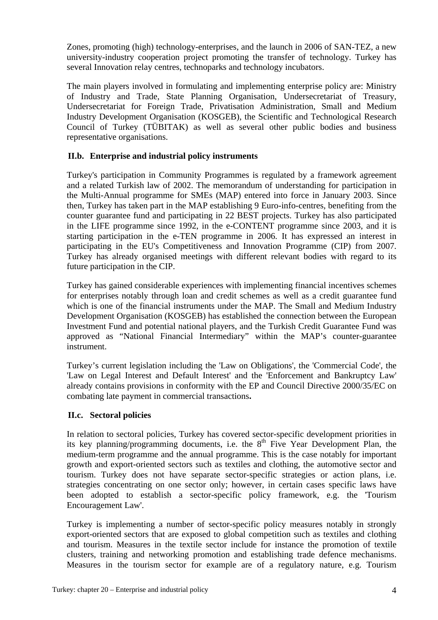Zones, promoting (high) technology-enterprises, and the launch in 2006 of SAN-TEZ, a new university-industry cooperation project promoting the transfer of technology. Turkey has several Innovation relay centres, technoparks and technology incubators.

The main players involved in formulating and implementing enterprise policy are: Ministry of Industry and Trade, State Planning Organisation, Undersecretariat of Treasury, Undersecretariat for Foreign Trade, Privatisation Administration, Small and Medium Industry Development Organisation (KOSGEB), the Scientific and Technological Research Council of Turkey (TÜBITAK) as well as several other public bodies and business representative organisations.

## **II.b. Enterprise and industrial policy instruments**

Turkey's participation in Community Programmes is regulated by a framework agreement and a related Turkish law of 2002. The memorandum of understanding for participation in the Multi-Annual programme for SMEs (MAP) entered into force in January 2003. Since then, Turkey has taken part in the MAP establishing 9 Euro-info-centres, benefiting from the counter guarantee fund and participating in 22 BEST projects. Turkey has also participated in the LIFE programme since 1992, in the e-CONTENT programme since 2003, and it is starting participation in the e-TEN programme in 2006. It has expressed an interest in participating in the EU's Competitiveness and Innovation Programme (CIP) from 2007. Turkey has already organised meetings with different relevant bodies with regard to its future participation in the CIP.

Turkey has gained considerable experiences with implementing financial incentives schemes for enterprises notably through loan and credit schemes as well as a credit guarantee fund which is one of the financial instruments under the MAP. The Small and Medium Industry Development Organisation (KOSGEB) has established the connection between the European Investment Fund and potential national players, and the Turkish Credit Guarantee Fund was approved as "National Financial Intermediary" within the MAP's counter-guarantee instrument.

Turkey's current legislation including the 'Law on Obligations', the 'Commercial Code', the 'Law on Legal Interest and Default Interest' and the 'Enforcement and Bankruptcy Law' already contains provisions in conformity with the EP and Council Directive 2000/35/EC on combating late payment in commercial transactions**.**

## **II.c. Sectoral policies**

In relation to sectoral policies, Turkey has covered sector-specific development priorities in its key planning/programming documents, i.e. the  $8<sup>th</sup>$  Five Year Development Plan, the medium-term programme and the annual programme. This is the case notably for important growth and export-oriented sectors such as textiles and clothing, the automotive sector and tourism. Turkey does not have separate sector-specific strategies or action plans, i.e. strategies concentrating on one sector only; however, in certain cases specific laws have been adopted to establish a sector-specific policy framework, e.g. the 'Tourism Encouragement Law'.

Turkey is implementing a number of sector-specific policy measures notably in strongly export-oriented sectors that are exposed to global competition such as textiles and clothing and tourism. Measures in the textile sector include for instance the promotion of textile clusters, training and networking promotion and establishing trade defence mechanisms. Measures in the tourism sector for example are of a regulatory nature, e.g. Tourism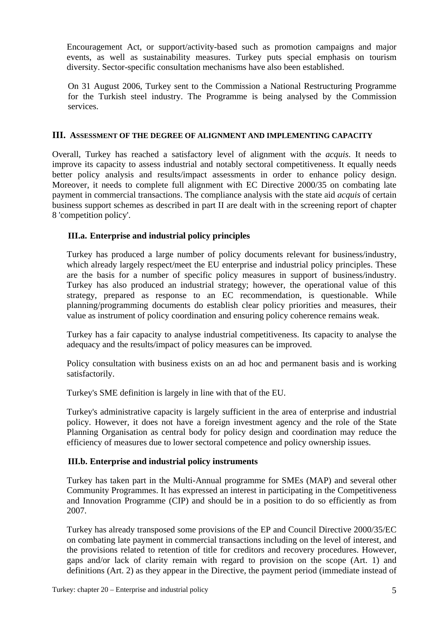Encouragement Act, or support/activity-based such as promotion campaigns and major events, as well as sustainability measures. Turkey puts special emphasis on tourism diversity. Sector-specific consultation mechanisms have also been established.

On 31 August 2006, Turkey sent to the Commission a National Restructuring Programme for the Turkish steel industry. The Programme is being analysed by the Commission services.

#### **III. ASSESSMENT OF THE DEGREE OF ALIGNMENT AND IMPLEMENTING CAPACITY**

Overall, Turkey has reached a satisfactory level of alignment with the *acquis*. It needs to improve its capacity to assess industrial and notably sectoral competitiveness. It equally needs better policy analysis and results/impact assessments in order to enhance policy design. Moreover, it needs to complete full alignment with EC Directive 2000/35 on combating late payment in commercial transactions. The compliance analysis with the state aid *acquis* of certain business support schemes as described in part II are dealt with in the screening report of chapter 8 'competition policy'.

## **III.a. Enterprise and industrial policy principles**

Turkey has produced a large number of policy documents relevant for business/industry, which already largely respect/meet the EU enterprise and industrial policy principles. These are the basis for a number of specific policy measures in support of business/industry. Turkey has also produced an industrial strategy; however, the operational value of this strategy, prepared as response to an EC recommendation, is questionable. While planning/programming documents do establish clear policy priorities and measures, their value as instrument of policy coordination and ensuring policy coherence remains weak.

Turkey has a fair capacity to analyse industrial competitiveness. Its capacity to analyse the adequacy and the results/impact of policy measures can be improved.

Policy consultation with business exists on an ad hoc and permanent basis and is working satisfactorily.

Turkey's SME definition is largely in line with that of the EU.

Turkey's administrative capacity is largely sufficient in the area of enterprise and industrial policy. However, it does not have a foreign investment agency and the role of the State Planning Organisation as central body for policy design and coordination may reduce the efficiency of measures due to lower sectoral competence and policy ownership issues.

## **III.b. Enterprise and industrial policy instruments**

Turkey has taken part in the Multi-Annual programme for SMEs (MAP) and several other Community Programmes. It has expressed an interest in participating in the Competitiveness and Innovation Programme (CIP) and should be in a position to do so efficiently as from 2007.

Turkey has already transposed some provisions of the EP and Council Directive 2000/35/EC on combating late payment in commercial transactions including on the level of interest, and the provisions related to retention of title for creditors and recovery procedures. However, gaps and/or lack of clarity remain with regard to provision on the scope (Art. 1) and definitions (Art. 2) as they appear in the Directive, the payment period (immediate instead of